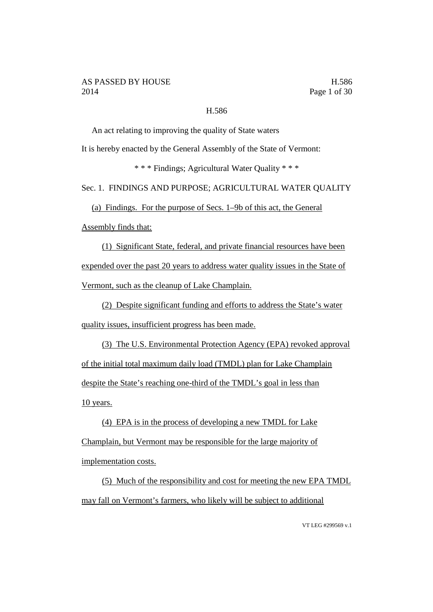## H.586

An act relating to improving the quality of State waters

It is hereby enacted by the General Assembly of the State of Vermont:

\* \* \* Findings; Agricultural Water Quality \* \* \*

Sec. 1. FINDINGS AND PURPOSE; AGRICULTURAL WATER QUALITY

(a) Findings. For the purpose of Secs. 1–9b of this act, the General

Assembly finds that:

(1) Significant State, federal, and private financial resources have been expended over the past 20 years to address water quality issues in the State of Vermont, such as the cleanup of Lake Champlain.

(2) Despite significant funding and efforts to address the State's water quality issues, insufficient progress has been made.

(3) The U.S. Environmental Protection Agency (EPA) revoked approval of the initial total maximum daily load (TMDL) plan for Lake Champlain despite the State's reaching one-third of the TMDL's goal in less than 10 years.

(4) EPA is in the process of developing a new TMDL for Lake Champlain, but Vermont may be responsible for the large majority of implementation costs.

(5) Much of the responsibility and cost for meeting the new EPA TMDL may fall on Vermont's farmers, who likely will be subject to additional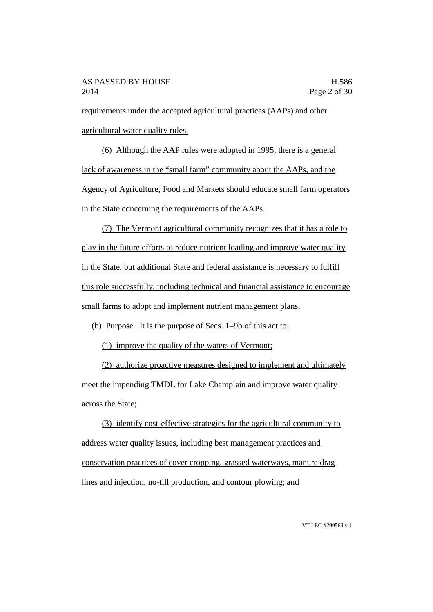requirements under the accepted agricultural practices (AAPs) and other agricultural water quality rules.

(6) Although the AAP rules were adopted in 1995, there is a general lack of awareness in the "small farm" community about the AAPs, and the Agency of Agriculture, Food and Markets should educate small farm operators in the State concerning the requirements of the AAPs.

(7) The Vermont agricultural community recognizes that it has a role to play in the future efforts to reduce nutrient loading and improve water quality in the State, but additional State and federal assistance is necessary to fulfill this role successfully, including technical and financial assistance to encourage small farms to adopt and implement nutrient management plans.

(b) Purpose. It is the purpose of Secs. 1–9b of this act to:

(1) improve the quality of the waters of Vermont;

(2) authorize proactive measures designed to implement and ultimately meet the impending TMDL for Lake Champlain and improve water quality across the State;

(3) identify cost-effective strategies for the agricultural community to address water quality issues, including best management practices and conservation practices of cover cropping, grassed waterways, manure drag lines and injection, no-till production, and contour plowing; and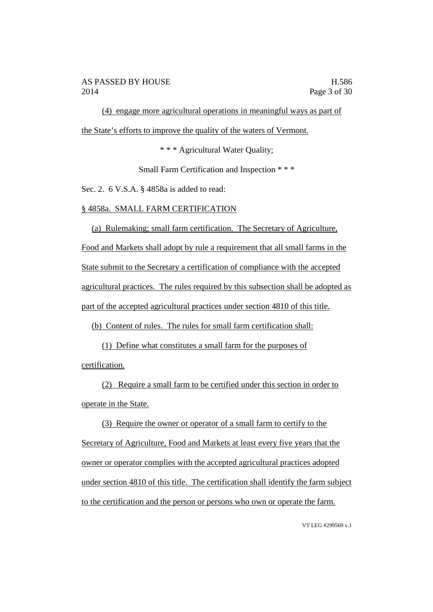(4) engage more agricultural operations in meaningful ways as part of the State's efforts to improve the quality of the waters of Vermont.

\* \* \* Agricultural Water Quality;

Small Farm Certification and Inspection \* \* \*

Sec. 2. 6 V.S.A. § 4858a is added to read:

## § 4858a. SMALL FARM CERTIFICATION

(a) Rulemaking; small farm certification. The Secretary of Agriculture, Food and Markets shall adopt by rule a requirement that all small farms in the State submit to the Secretary a certification of compliance with the accepted agricultural practices. The rules required by this subsection shall be adopted as part of the accepted agricultural practices under section 4810 of this title.

(b) Content of rules. The rules for small farm certification shall:

(1) Define what constitutes a small farm for the purposes of certification.

(2) Require a small farm to be certified under this section in order to operate in the State.

(3) Require the owner or operator of a small farm to certify to the Secretary of Agriculture, Food and Markets at least every five years that the owner or operator complies with the accepted agricultural practices adopted under section 4810 of this title. The certification shall identify the farm subject to the certification and the person or persons who own or operate the farm.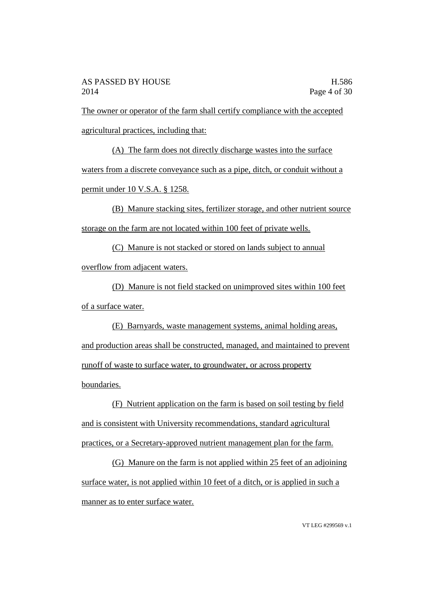The owner or operator of the farm shall certify compliance with the accepted agricultural practices, including that:

(A) The farm does not directly discharge wastes into the surface waters from a discrete conveyance such as a pipe, ditch, or conduit without a permit under 10 V.S.A. § 1258.

(B) Manure stacking sites, fertilizer storage, and other nutrient source storage on the farm are not located within 100 feet of private wells.

(C) Manure is not stacked or stored on lands subject to annual overflow from adjacent waters.

(D) Manure is not field stacked on unimproved sites within 100 feet of a surface water.

(E) Barnyards, waste management systems, animal holding areas, and production areas shall be constructed, managed, and maintained to prevent runoff of waste to surface water, to groundwater, or across property boundaries.

(F) Nutrient application on the farm is based on soil testing by field and is consistent with University recommendations, standard agricultural practices, or a Secretary-approved nutrient management plan for the farm.

(G) Manure on the farm is not applied within 25 feet of an adjoining surface water, is not applied within 10 feet of a ditch, or is applied in such a manner as to enter surface water.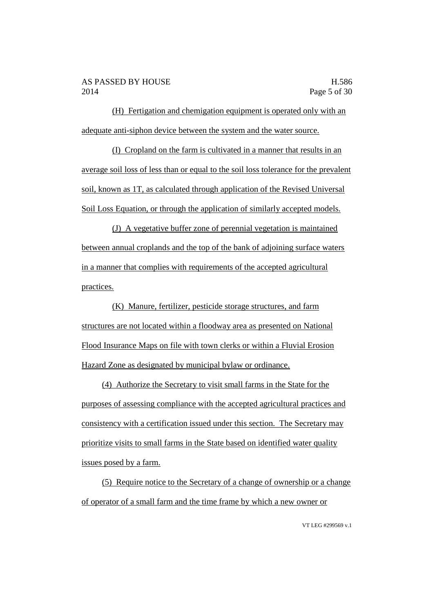(H) Fertigation and chemigation equipment is operated only with an adequate anti-siphon device between the system and the water source.

(I) Cropland on the farm is cultivated in a manner that results in an average soil loss of less than or equal to the soil loss tolerance for the prevalent soil, known as 1T, as calculated through application of the Revised Universal Soil Loss Equation, or through the application of similarly accepted models.

(J) A vegetative buffer zone of perennial vegetation is maintained between annual croplands and the top of the bank of adjoining surface waters in a manner that complies with requirements of the accepted agricultural practices.

(K) Manure, fertilizer, pesticide storage structures, and farm structures are not located within a floodway area as presented on National Flood Insurance Maps on file with town clerks or within a Fluvial Erosion Hazard Zone as designated by municipal bylaw or ordinance.

(4) Authorize the Secretary to visit small farms in the State for the purposes of assessing compliance with the accepted agricultural practices and consistency with a certification issued under this section. The Secretary may prioritize visits to small farms in the State based on identified water quality issues posed by a farm.

(5) Require notice to the Secretary of a change of ownership or a change of operator of a small farm and the time frame by which a new owner or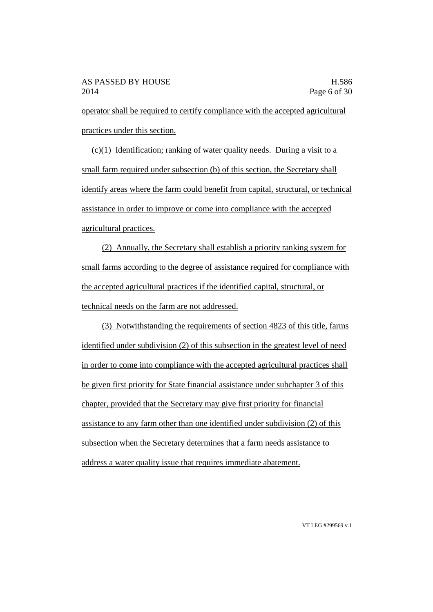operator shall be required to certify compliance with the accepted agricultural practices under this section.

(c)(1) Identification; ranking of water quality needs. During a visit to a small farm required under subsection (b) of this section, the Secretary shall identify areas where the farm could benefit from capital, structural, or technical assistance in order to improve or come into compliance with the accepted agricultural practices.

(2) Annually, the Secretary shall establish a priority ranking system for small farms according to the degree of assistance required for compliance with the accepted agricultural practices if the identified capital, structural, or technical needs on the farm are not addressed.

(3) Notwithstanding the requirements of section 4823 of this title, farms identified under subdivision (2) of this subsection in the greatest level of need in order to come into compliance with the accepted agricultural practices shall be given first priority for State financial assistance under subchapter 3 of this chapter, provided that the Secretary may give first priority for financial assistance to any farm other than one identified under subdivision (2) of this subsection when the Secretary determines that a farm needs assistance to address a water quality issue that requires immediate abatement.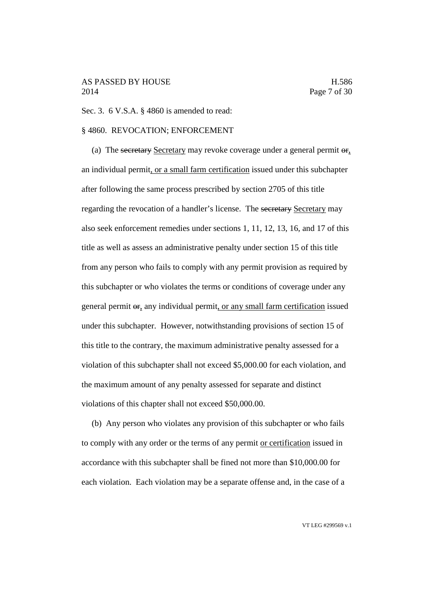## AS PASSED BY HOUSE H.586 2014 Page 7 of 30

Sec. 3. 6 V.S.A. § 4860 is amended to read:

### § 4860. REVOCATION; ENFORCEMENT

(a) The secretary Secretary may revoke coverage under a general permit  $\theta$ r, an individual permit, or a small farm certification issued under this subchapter after following the same process prescribed by section 2705 of this title regarding the revocation of a handler's license. The secretary Secretary may also seek enforcement remedies under sections 1, 11, 12, 13, 16, and 17 of this title as well as assess an administrative penalty under section 15 of this title from any person who fails to comply with any permit provision as required by this subchapter or who violates the terms or conditions of coverage under any general permit or, any individual permit, or any small farm certification issued under this subchapter. However, notwithstanding provisions of section 15 of this title to the contrary, the maximum administrative penalty assessed for a violation of this subchapter shall not exceed \$5,000.00 for each violation, and the maximum amount of any penalty assessed for separate and distinct violations of this chapter shall not exceed \$50,000.00.

(b) Any person who violates any provision of this subchapter or who fails to comply with any order or the terms of any permit or certification issued in accordance with this subchapter shall be fined not more than \$10,000.00 for each violation. Each violation may be a separate offense and, in the case of a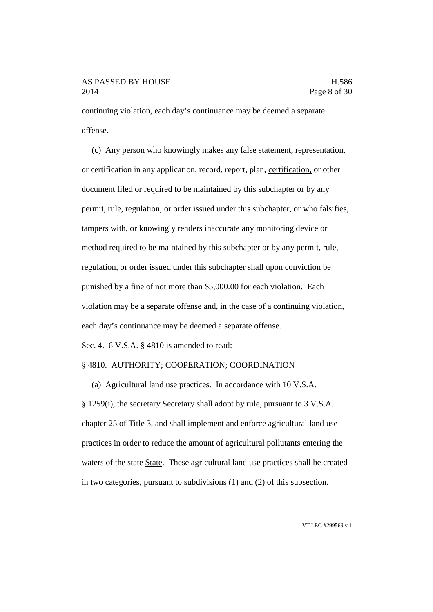continuing violation, each day's continuance may be deemed a separate offense.

(c) Any person who knowingly makes any false statement, representation, or certification in any application, record, report, plan, certification, or other document filed or required to be maintained by this subchapter or by any permit, rule, regulation, or order issued under this subchapter, or who falsifies, tampers with, or knowingly renders inaccurate any monitoring device or method required to be maintained by this subchapter or by any permit, rule, regulation, or order issued under this subchapter shall upon conviction be punished by a fine of not more than \$5,000.00 for each violation. Each violation may be a separate offense and, in the case of a continuing violation, each day's continuance may be deemed a separate offense.

Sec. 4. 6 V.S.A. § 4810 is amended to read:

## § 4810. AUTHORITY; COOPERATION; COORDINATION

(a) Agricultural land use practices. In accordance with 10 V.S.A. § 1259(i), the secretary Secretary shall adopt by rule, pursuant to 3 V.S.A. chapter 25 of Title 3, and shall implement and enforce agricultural land use practices in order to reduce the amount of agricultural pollutants entering the waters of the state State. These agricultural land use practices shall be created in two categories, pursuant to subdivisions (1) and (2) of this subsection.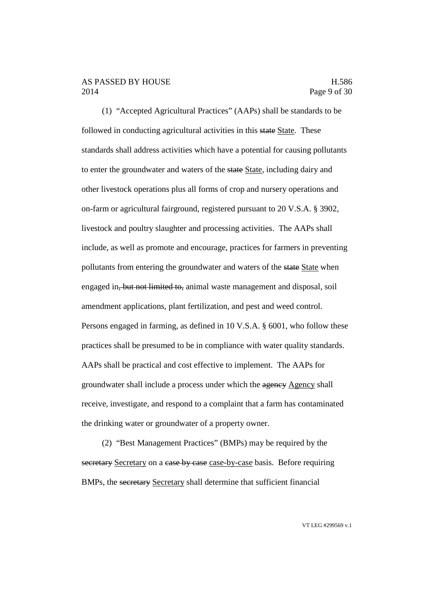#### AS PASSED BY HOUSE H.586 2014 Page 9 of 30

(1) "Accepted Agricultural Practices" (AAPs) shall be standards to be followed in conducting agricultural activities in this state State. These standards shall address activities which have a potential for causing pollutants to enter the groundwater and waters of the state State, including dairy and other livestock operations plus all forms of crop and nursery operations and on-farm or agricultural fairground, registered pursuant to 20 V.S.A. § 3902, livestock and poultry slaughter and processing activities. The AAPs shall include, as well as promote and encourage, practices for farmers in preventing pollutants from entering the groundwater and waters of the state State when engaged in, but not limited to, animal waste management and disposal, soil amendment applications, plant fertilization, and pest and weed control. Persons engaged in farming, as defined in 10 V.S.A. § 6001, who follow these practices shall be presumed to be in compliance with water quality standards. AAPs shall be practical and cost effective to implement. The AAPs for groundwater shall include a process under which the agency Agency shall receive, investigate, and respond to a complaint that a farm has contaminated the drinking water or groundwater of a property owner.

(2) "Best Management Practices" (BMPs) may be required by the secretary Secretary on a case by case case-by-case basis. Before requiring BMPs, the secretary Secretary shall determine that sufficient financial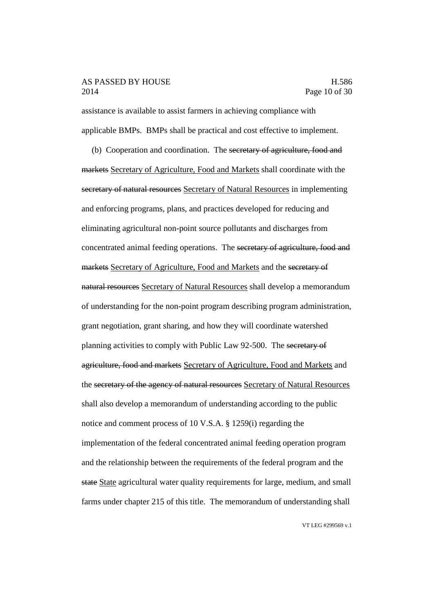### AS PASSED BY HOUSE H.586 2014 Page 10 of 30

assistance is available to assist farmers in achieving compliance with applicable BMPs. BMPs shall be practical and cost effective to implement.

(b) Cooperation and coordination. The secretary of agriculture, food and markets Secretary of Agriculture, Food and Markets shall coordinate with the secretary of natural resources Secretary of Natural Resources in implementing and enforcing programs, plans, and practices developed for reducing and eliminating agricultural non-point source pollutants and discharges from concentrated animal feeding operations. The secretary of agriculture, food and markets Secretary of Agriculture, Food and Markets and the secretary of natural resources Secretary of Natural Resources shall develop a memorandum of understanding for the non-point program describing program administration, grant negotiation, grant sharing, and how they will coordinate watershed planning activities to comply with Public Law 92-500. The secretary of agriculture, food and markets Secretary of Agriculture, Food and Markets and the secretary of the agency of natural resources Secretary of Natural Resources shall also develop a memorandum of understanding according to the public notice and comment process of 10 V.S.A. § 1259(i) regarding the implementation of the federal concentrated animal feeding operation program and the relationship between the requirements of the federal program and the state State agricultural water quality requirements for large, medium, and small farms under chapter 215 of this title. The memorandum of understanding shall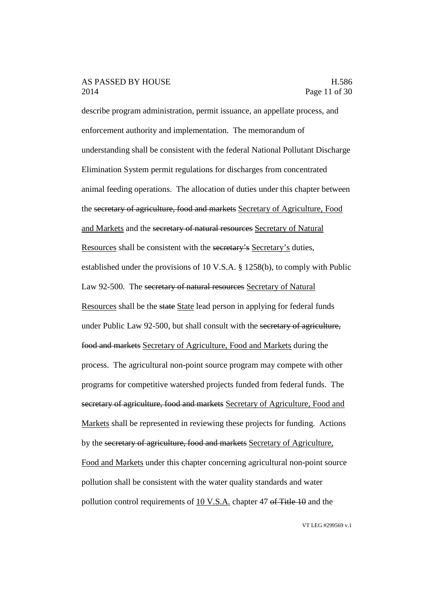#### AS PASSED BY HOUSE H.586 2014 Page 11 of 30

describe program administration, permit issuance, an appellate process, and enforcement authority and implementation. The memorandum of understanding shall be consistent with the federal National Pollutant Discharge Elimination System permit regulations for discharges from concentrated animal feeding operations. The allocation of duties under this chapter between the secretary of agriculture, food and markets Secretary of Agriculture, Food and Markets and the secretary of natural resources Secretary of Natural Resources shall be consistent with the secretary's Secretary's duties, established under the provisions of 10 V.S.A. § 1258(b), to comply with Public Law 92-500. The secretary of natural resources Secretary of Natural Resources shall be the state State lead person in applying for federal funds under Public Law 92-500, but shall consult with the secretary of agriculture, food and markets Secretary of Agriculture, Food and Markets during the process. The agricultural non-point source program may compete with other programs for competitive watershed projects funded from federal funds. The secretary of agriculture, food and markets Secretary of Agriculture, Food and Markets shall be represented in reviewing these projects for funding. Actions by the secretary of agriculture, food and markets Secretary of Agriculture, Food and Markets under this chapter concerning agricultural non-point source pollution shall be consistent with the water quality standards and water pollution control requirements of 10 V.S.A. chapter 47 of Title 10 and the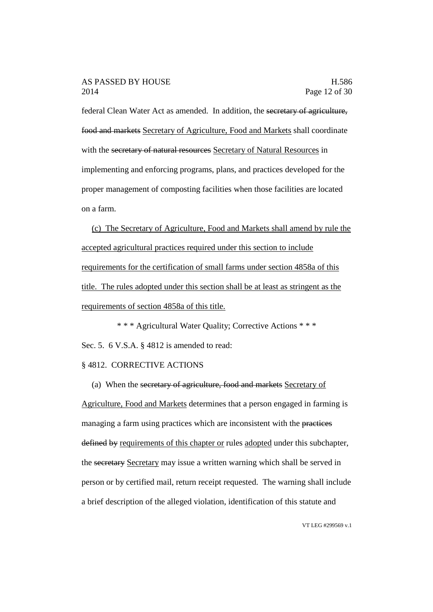### AS PASSED BY HOUSE H.586 2014 Page 12 of 30

federal Clean Water Act as amended. In addition, the secretary of agriculture, food and markets Secretary of Agriculture, Food and Markets shall coordinate with the secretary of natural resources Secretary of Natural Resources in implementing and enforcing programs, plans, and practices developed for the proper management of composting facilities when those facilities are located on a farm.

(c) The Secretary of Agriculture, Food and Markets shall amend by rule the accepted agricultural practices required under this section to include requirements for the certification of small farms under section 4858a of this title. The rules adopted under this section shall be at least as stringent as the requirements of section 4858a of this title.

\* \* \* Agricultural Water Quality; Corrective Actions \* \* \* Sec. 5. 6 V.S.A. § 4812 is amended to read:

## § 4812. CORRECTIVE ACTIONS

(a) When the secretary of agriculture, food and markets Secretary of Agriculture, Food and Markets determines that a person engaged in farming is managing a farm using practices which are inconsistent with the practices defined by requirements of this chapter or rules adopted under this subchapter, the secretary Secretary may issue a written warning which shall be served in person or by certified mail, return receipt requested. The warning shall include a brief description of the alleged violation, identification of this statute and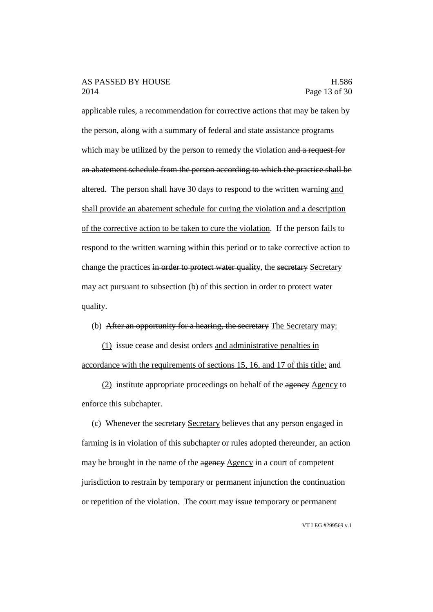### AS PASSED BY HOUSE H.586 2014 Page 13 of 30

applicable rules, a recommendation for corrective actions that may be taken by the person, along with a summary of federal and state assistance programs which may be utilized by the person to remedy the violation and a request for an abatement schedule from the person according to which the practice shall be altered. The person shall have 30 days to respond to the written warning and shall provide an abatement schedule for curing the violation and a description of the corrective action to be taken to cure the violation. If the person fails to respond to the written warning within this period or to take corrective action to change the practices in order to protect water quality, the secretary Secretary may act pursuant to subsection (b) of this section in order to protect water quality.

(b) After an opportunity for a hearing, the secretary The Secretary may:

(1) issue cease and desist orders and administrative penalties in accordance with the requirements of sections 15, 16, and 17 of this title; and

 $(2)$  institute appropriate proceedings on behalf of the agency  $\triangle$  Agency to enforce this subchapter.

(c) Whenever the secretary Secretary believes that any person engaged in farming is in violation of this subchapter or rules adopted thereunder, an action may be brought in the name of the agency Agency in a court of competent jurisdiction to restrain by temporary or permanent injunction the continuation or repetition of the violation. The court may issue temporary or permanent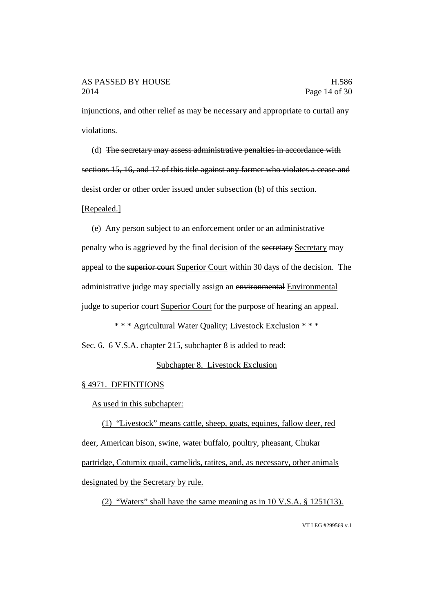injunctions, and other relief as may be necessary and appropriate to curtail any violations.

(d) The secretary may assess administrative penalties in accordance with sections 15, 16, and 17 of this title against any farmer who violates a cease and desist order or other order issued under subsection (b) of this section.

### [Repealed.]

(e) Any person subject to an enforcement order or an administrative penalty who is aggrieved by the final decision of the secretary Secretary may appeal to the superior court Superior Court within 30 days of the decision. The administrative judge may specially assign an environmental Environmental judge to superior court Superior Court for the purpose of hearing an appeal.

\* \* \* Agricultural Water Quality; Livestock Exclusion \* \* \*

Sec. 6. 6 V.S.A. chapter 215, subchapter 8 is added to read:

## Subchapter 8. Livestock Exclusion

#### § 4971. DEFINITIONS

As used in this subchapter:

(1) "Livestock" means cattle, sheep, goats, equines, fallow deer, red deer, American bison, swine, water buffalo, poultry, pheasant, Chukar partridge, Coturnix quail, camelids, ratites, and, as necessary, other animals designated by the Secretary by rule.

(2) "Waters" shall have the same meaning as in 10 V.S.A. § 1251(13).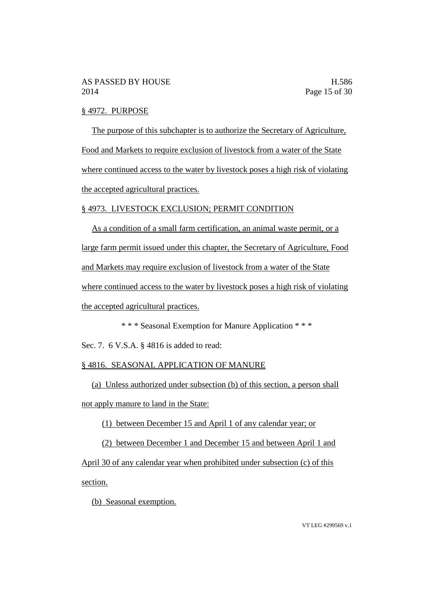### § 4972. PURPOSE

The purpose of this subchapter is to authorize the Secretary of Agriculture, Food and Markets to require exclusion of livestock from a water of the State where continued access to the water by livestock poses a high risk of violating the accepted agricultural practices.

### § 4973. LIVESTOCK EXCLUSION; PERMIT CONDITION

As a condition of a small farm certification, an animal waste permit, or a large farm permit issued under this chapter, the Secretary of Agriculture, Food and Markets may require exclusion of livestock from a water of the State where continued access to the water by livestock poses a high risk of violating the accepted agricultural practices.

\* \* \* Seasonal Exemption for Manure Application \* \* \*

Sec. 7. 6 V.S.A. § 4816 is added to read:

#### § 4816. SEASONAL APPLICATION OF MANURE

(a) Unless authorized under subsection (b) of this section, a person shall not apply manure to land in the State:

(1) between December 15 and April 1 of any calendar year; or

(2) between December 1 and December 15 and between April 1 and

April 30 of any calendar year when prohibited under subsection (c) of this section.

(b) Seasonal exemption.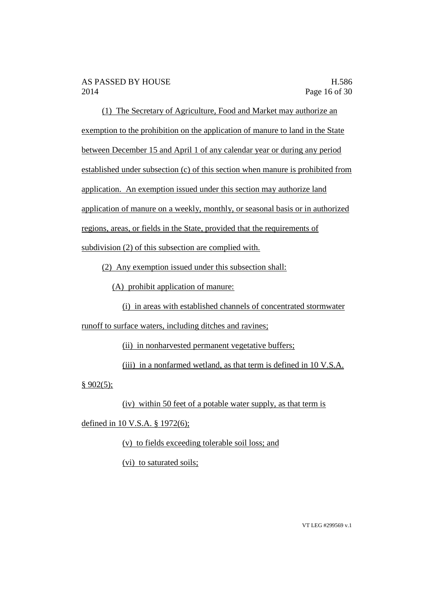(1) The Secretary of Agriculture, Food and Market may authorize an exemption to the prohibition on the application of manure to land in the State between December 15 and April 1 of any calendar year or during any period established under subsection (c) of this section when manure is prohibited from application. An exemption issued under this section may authorize land application of manure on a weekly, monthly, or seasonal basis or in authorized regions, areas, or fields in the State, provided that the requirements of subdivision (2) of this subsection are complied with.

(2) Any exemption issued under this subsection shall:

(A) prohibit application of manure:

(i) in areas with established channels of concentrated stormwater

runoff to surface waters, including ditches and ravines;

(ii) in nonharvested permanent vegetative buffers;

(iii) in a nonfarmed wetland, as that term is defined in 10 V.S.A.

 $§ 902(5);$ 

(iv) within 50 feet of a potable water supply, as that term is

defined in 10 V.S.A. § 1972(6);

(v) to fields exceeding tolerable soil loss; and

(vi) to saturated soils;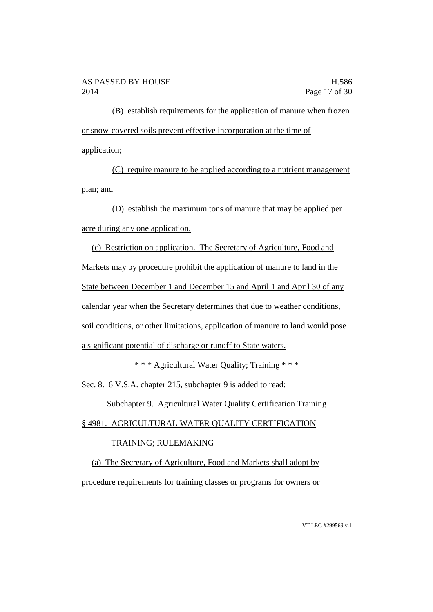(B) establish requirements for the application of manure when frozen or snow-covered soils prevent effective incorporation at the time of application;

(C) require manure to be applied according to a nutrient management plan; and

(D) establish the maximum tons of manure that may be applied per acre during any one application.

(c) Restriction on application. The Secretary of Agriculture, Food and Markets may by procedure prohibit the application of manure to land in the State between December 1 and December 15 and April 1 and April 30 of any calendar year when the Secretary determines that due to weather conditions, soil conditions, or other limitations, application of manure to land would pose a significant potential of discharge or runoff to State waters.

\* \* \* Agricultural Water Quality; Training \* \* \*

Sec. 8. 6 V.S.A. chapter 215, subchapter 9 is added to read:

Subchapter 9. Agricultural Water Quality Certification Training

# § 4981. AGRICULTURAL WATER QUALITY CERTIFICATION

# TRAINING; RULEMAKING

(a) The Secretary of Agriculture, Food and Markets shall adopt by procedure requirements for training classes or programs for owners or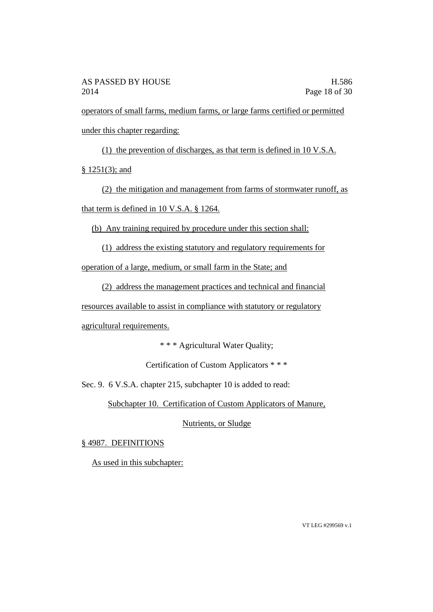operators of small farms, medium farms, or large farms certified or permitted under this chapter regarding:

(1) the prevention of discharges, as that term is defined in 10 V.S.A.

§ 1251(3); and

(2) the mitigation and management from farms of stormwater runoff, as that term is defined in 10 V.S.A. § 1264.

(b) Any training required by procedure under this section shall:

(1) address the existing statutory and regulatory requirements for

operation of a large, medium, or small farm in the State; and

(2) address the management practices and technical and financial

resources available to assist in compliance with statutory or regulatory

agricultural requirements.

\* \* \* Agricultural Water Quality;

Certification of Custom Applicators \* \* \*

Sec. 9. 6 V.S.A. chapter 215, subchapter 10 is added to read:

Subchapter 10. Certification of Custom Applicators of Manure,

Nutrients, or Sludge

§ 4987. DEFINITIONS

As used in this subchapter: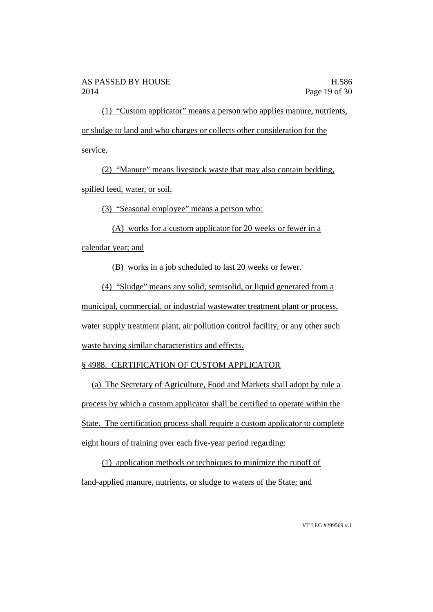(1) "Custom applicator" means a person who applies manure, nutrients, or sludge to land and who charges or collects other consideration for the service.

(2) "Manure" means livestock waste that may also contain bedding, spilled feed, water, or soil.

(3) "Seasonal employee" means a person who:

(A) works for a custom applicator for 20 weeks or fewer in a

calendar year; and

(B) works in a job scheduled to last 20 weeks or fewer.

(4) "Sludge" means any solid, semisolid, or liquid generated from a municipal, commercial, or industrial wastewater treatment plant or process, water supply treatment plant, air pollution control facility, or any other such waste having similar characteristics and effects.

# § 4988. CERTIFICATION OF CUSTOM APPLICATOR

(a) The Secretary of Agriculture, Food and Markets shall adopt by rule a process by which a custom applicator shall be certified to operate within the State. The certification process shall require a custom applicator to complete eight hours of training over each five-year period regarding:

(1) application methods or techniques to minimize the runoff of land-applied manure, nutrients, or sludge to waters of the State; and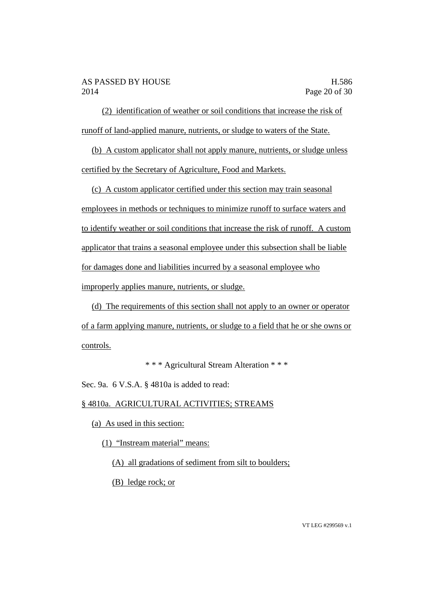(2) identification of weather or soil conditions that increase the risk of runoff of land-applied manure, nutrients, or sludge to waters of the State.

(b) A custom applicator shall not apply manure, nutrients, or sludge unless certified by the Secretary of Agriculture, Food and Markets.

(c) A custom applicator certified under this section may train seasonal employees in methods or techniques to minimize runoff to surface waters and to identify weather or soil conditions that increase the risk of runoff. A custom applicator that trains a seasonal employee under this subsection shall be liable for damages done and liabilities incurred by a seasonal employee who improperly applies manure, nutrients, or sludge.

(d) The requirements of this section shall not apply to an owner or operator of a farm applying manure, nutrients, or sludge to a field that he or she owns or controls.

\* \* \* Agricultural Stream Alteration \* \* \*

Sec. 9a. 6 V.S.A. § 4810a is added to read:

§ 4810a. AGRICULTURAL ACTIVITIES; STREAMS

(a) As used in this section:

(1) "Instream material" means:

(A) all gradations of sediment from silt to boulders;

(B) ledge rock; or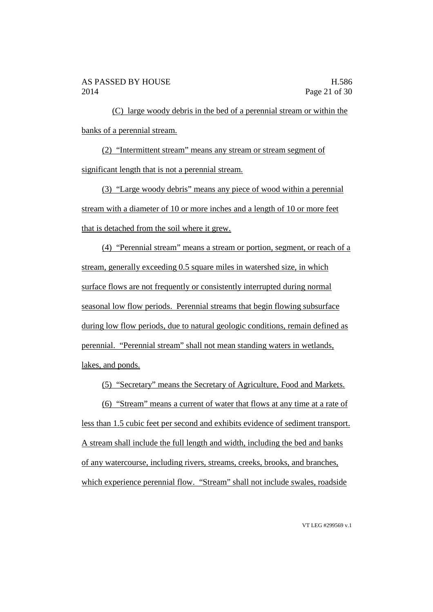(C) large woody debris in the bed of a perennial stream or within the banks of a perennial stream.

(2) "Intermittent stream" means any stream or stream segment of significant length that is not a perennial stream.

(3) "Large woody debris" means any piece of wood within a perennial stream with a diameter of 10 or more inches and a length of 10 or more feet that is detached from the soil where it grew.

(4) "Perennial stream" means a stream or portion, segment, or reach of a stream, generally exceeding 0.5 square miles in watershed size, in which surface flows are not frequently or consistently interrupted during normal seasonal low flow periods. Perennial streams that begin flowing subsurface during low flow periods, due to natural geologic conditions, remain defined as perennial. "Perennial stream" shall not mean standing waters in wetlands, lakes, and ponds.

(5) "Secretary" means the Secretary of Agriculture, Food and Markets.

(6) "Stream" means a current of water that flows at any time at a rate of

less than 1.5 cubic feet per second and exhibits evidence of sediment transport. A stream shall include the full length and width, including the bed and banks of any watercourse, including rivers, streams, creeks, brooks, and branches, which experience perennial flow. "Stream" shall not include swales, roadside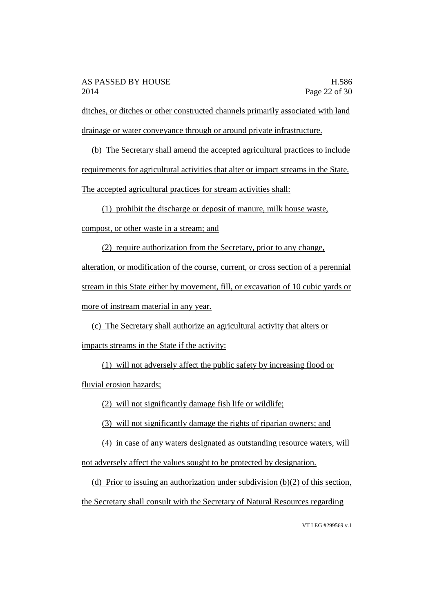ditches, or ditches or other constructed channels primarily associated with land drainage or water conveyance through or around private infrastructure.

(b) The Secretary shall amend the accepted agricultural practices to include requirements for agricultural activities that alter or impact streams in the State. The accepted agricultural practices for stream activities shall:

(1) prohibit the discharge or deposit of manure, milk house waste, compost, or other waste in a stream; and

(2) require authorization from the Secretary, prior to any change, alteration, or modification of the course, current, or cross section of a perennial stream in this State either by movement, fill, or excavation of 10 cubic yards or more of instream material in any year.

(c) The Secretary shall authorize an agricultural activity that alters or impacts streams in the State if the activity:

(1) will not adversely affect the public safety by increasing flood or fluvial erosion hazards;

(2) will not significantly damage fish life or wildlife;

(3) will not significantly damage the rights of riparian owners; and

(4) in case of any waters designated as outstanding resource waters, will not adversely affect the values sought to be protected by designation.

(d) Prior to issuing an authorization under subdivision (b)(2) of this section, the Secretary shall consult with the Secretary of Natural Resources regarding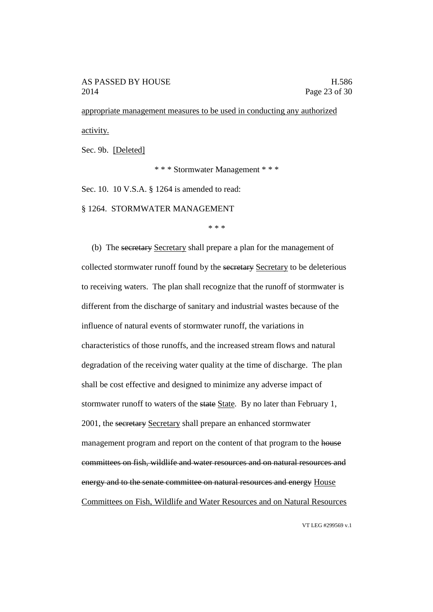appropriate management measures to be used in conducting any authorized activity.

Sec. 9b. [Deleted]

\* \* \* Stormwater Management \* \* \*

Sec. 10. 10 V.S.A. § 1264 is amended to read:

§ 1264. STORMWATER MANAGEMENT

\* \* \*

(b) The secretary Secretary shall prepare a plan for the management of collected stormwater runoff found by the secretary Secretary to be deleterious to receiving waters. The plan shall recognize that the runoff of stormwater is different from the discharge of sanitary and industrial wastes because of the influence of natural events of stormwater runoff, the variations in characteristics of those runoffs, and the increased stream flows and natural degradation of the receiving water quality at the time of discharge. The plan shall be cost effective and designed to minimize any adverse impact of stormwater runoff to waters of the state State. By no later than February 1, 2001, the secretary Secretary shall prepare an enhanced stormwater management program and report on the content of that program to the house committees on fish, wildlife and water resources and on natural resources and energy and to the senate committee on natural resources and energy House Committees on Fish, Wildlife and Water Resources and on Natural Resources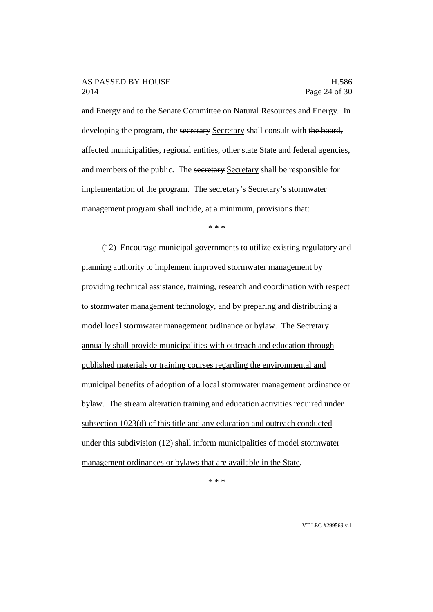and Energy and to the Senate Committee on Natural Resources and Energy. In developing the program, the secretary Secretary shall consult with the board, affected municipalities, regional entities, other state State and federal agencies, and members of the public. The secretary Secretary shall be responsible for implementation of the program. The secretary's Secretary's stormwater management program shall include, at a minimum, provisions that:

\* \* \*

(12) Encourage municipal governments to utilize existing regulatory and planning authority to implement improved stormwater management by providing technical assistance, training, research and coordination with respect to stormwater management technology, and by preparing and distributing a model local stormwater management ordinance or bylaw. The Secretary annually shall provide municipalities with outreach and education through published materials or training courses regarding the environmental and municipal benefits of adoption of a local stormwater management ordinance or bylaw. The stream alteration training and education activities required under subsection 1023(d) of this title and any education and outreach conducted under this subdivision (12) shall inform municipalities of model stormwater management ordinances or bylaws that are available in the State.

\* \* \*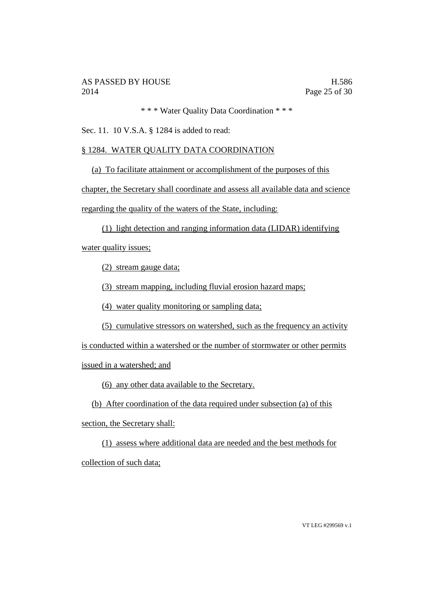\* \* \* Water Quality Data Coordination \* \* \*

Sec. 11. 10 V.S.A. § 1284 is added to read:

## § 1284. WATER QUALITY DATA COORDINATION

(a) To facilitate attainment or accomplishment of the purposes of this

chapter, the Secretary shall coordinate and assess all available data and science regarding the quality of the waters of the State, including:

(1) light detection and ranging information data (LIDAR) identifying

water quality issues;

(2) stream gauge data;

(3) stream mapping, including fluvial erosion hazard maps;

(4) water quality monitoring or sampling data;

(5) cumulative stressors on watershed, such as the frequency an activity

is conducted within a watershed or the number of stormwater or other permits

issued in a watershed; and

(6) any other data available to the Secretary.

(b) After coordination of the data required under subsection (a) of this

section, the Secretary shall:

(1) assess where additional data are needed and the best methods for

collection of such data;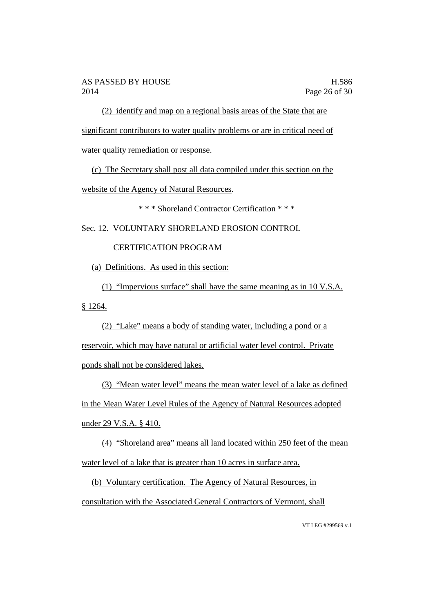(2) identify and map on a regional basis areas of the State that are significant contributors to water quality problems or are in critical need of water quality remediation or response.

(c) The Secretary shall post all data compiled under this section on the website of the Agency of Natural Resources.

\* \* \* Shoreland Contractor Certification \* \* \*

Sec. 12. VOLUNTARY SHORELAND EROSION CONTROL

CERTIFICATION PROGRAM

(a) Definitions. As used in this section:

(1) "Impervious surface" shall have the same meaning as in 10 V.S.A. § 1264.

(2) "Lake" means a body of standing water, including a pond or a reservoir, which may have natural or artificial water level control. Private ponds shall not be considered lakes.

(3) "Mean water level" means the mean water level of a lake as defined in the Mean Water Level Rules of the Agency of Natural Resources adopted under 29 V.S.A. § 410.

(4) "Shoreland area" means all land located within 250 feet of the mean water level of a lake that is greater than 10 acres in surface area.

(b) Voluntary certification. The Agency of Natural Resources, in consultation with the Associated General Contractors of Vermont, shall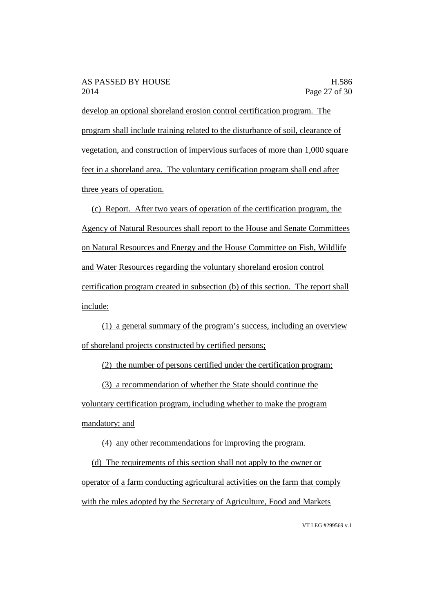develop an optional shoreland erosion control certification program. The program shall include training related to the disturbance of soil, clearance of vegetation, and construction of impervious surfaces of more than 1,000 square feet in a shoreland area. The voluntary certification program shall end after three years of operation.

(c) Report. After two years of operation of the certification program, the Agency of Natural Resources shall report to the House and Senate Committees on Natural Resources and Energy and the House Committee on Fish, Wildlife and Water Resources regarding the voluntary shoreland erosion control certification program created in subsection (b) of this section. The report shall include:

(1) a general summary of the program's success, including an overview of shoreland projects constructed by certified persons;

(2) the number of persons certified under the certification program;

(3) a recommendation of whether the State should continue the voluntary certification program, including whether to make the program mandatory; and

(4) any other recommendations for improving the program.

(d) The requirements of this section shall not apply to the owner or operator of a farm conducting agricultural activities on the farm that comply with the rules adopted by the Secretary of Agriculture, Food and Markets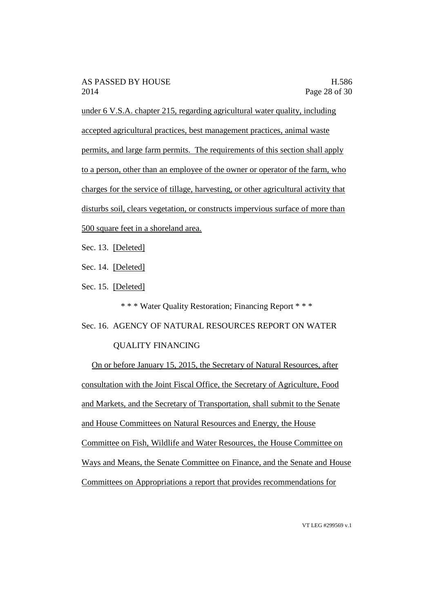under 6 V.S.A. chapter 215, regarding agricultural water quality, including accepted agricultural practices, best management practices, animal waste permits, and large farm permits. The requirements of this section shall apply to a person, other than an employee of the owner or operator of the farm, who charges for the service of tillage, harvesting, or other agricultural activity that disturbs soil, clears vegetation, or constructs impervious surface of more than 500 square feet in a shoreland area.

Sec. 13. [Deleted]

Sec. 14. [Deleted]

Sec. 15. [Deleted]

\* \* \* Water Quality Restoration; Financing Report \* \* \*

Sec. 16. AGENCY OF NATURAL RESOURCES REPORT ON WATER

## QUALITY FINANCING

On or before January 15, 2015, the Secretary of Natural Resources, after consultation with the Joint Fiscal Office, the Secretary of Agriculture, Food and Markets, and the Secretary of Transportation, shall submit to the Senate and House Committees on Natural Resources and Energy, the House Committee on Fish, Wildlife and Water Resources, the House Committee on Ways and Means, the Senate Committee on Finance, and the Senate and House Committees on Appropriations a report that provides recommendations for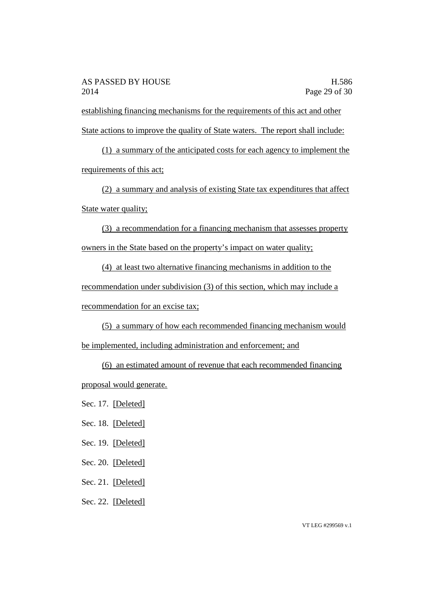establishing financing mechanisms for the requirements of this act and other State actions to improve the quality of State waters. The report shall include:

(1) a summary of the anticipated costs for each agency to implement the requirements of this act;

(2) a summary and analysis of existing State tax expenditures that affect State water quality;

(3) a recommendation for a financing mechanism that assesses property owners in the State based on the property's impact on water quality;

(4) at least two alternative financing mechanisms in addition to the recommendation under subdivision (3) of this section, which may include a recommendation for an excise tax;

(5) a summary of how each recommended financing mechanism would be implemented, including administration and enforcement; and

(6) an estimated amount of revenue that each recommended financing proposal would generate.

Sec. 17. [Deleted]

Sec. 18. [Deleted]

Sec. 19. [Deleted]

Sec. 20. [Deleted]

Sec. 21. [Deleted]

Sec. 22. [Deleted]